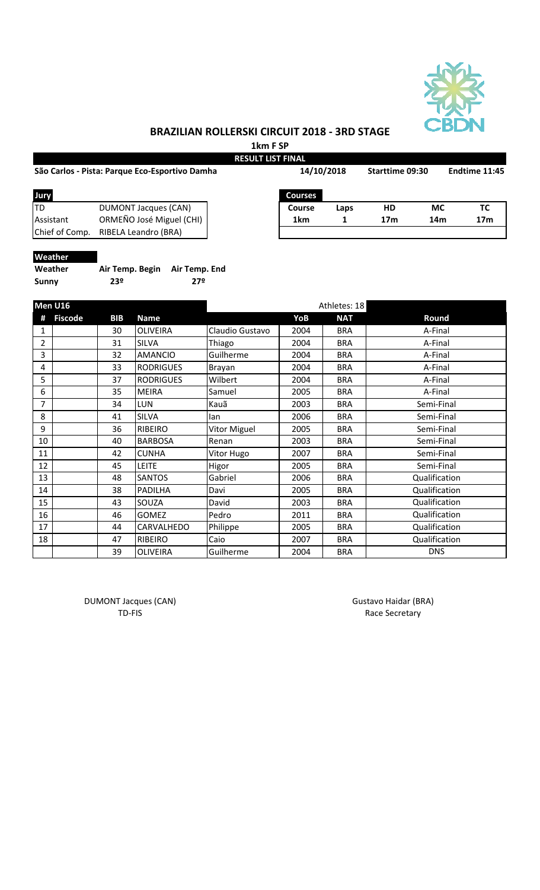

# **BRAZILIAN ROLLERSKI CIRCUIT 2018 - 3RD STAGE**

**1km F SP RESULT LIST FINAL**

| São Carlos - Pista: Parque Eco-Esportivo Damha |                          |  | 14/10/2018     |      | Starttime 09:30 |     | Endtime 11:45   |  |
|------------------------------------------------|--------------------------|--|----------------|------|-----------------|-----|-----------------|--|
| Jury                                           |                          |  | <b>Courses</b> |      |                 |     |                 |  |
| ltd                                            | DUMONT Jacques (CAN)     |  | Course         | Laps | HD              | МC  | TC              |  |
| Assistant                                      | ORMEÑO José Miguel (CHI) |  | 1km            |      | 17 <sub>m</sub> | 14m | 17 <sub>m</sub> |  |
| Chief of Comp.                                 | RIBELA Leandro (BRA)     |  |                |      |                 |     |                 |  |
|                                                |                          |  |                |      |                 |     |                 |  |

### **Weather**

| Weather | Air Temp. Begin Air Temp. End |     |
|---------|-------------------------------|-----|
| Sunny   | 23º                           | 27º |

| Men U16        |                |            |                  | Athletes: 18        |      |            |               |  |
|----------------|----------------|------------|------------------|---------------------|------|------------|---------------|--|
|                | <b>Fiscode</b> | <b>BIB</b> | <b>Name</b>      |                     | YoB  | <b>NAT</b> | Round         |  |
| 1              |                | 30         | <b>OLIVEIRA</b>  | Claudio Gustavo     | 2004 | <b>BRA</b> | A-Final       |  |
| $\overline{2}$ |                | 31         | <b>SILVA</b>     | Thiago              | 2004 | <b>BRA</b> | A-Final       |  |
| 3              |                | 32         | <b>AMANCIO</b>   | Guilherme           | 2004 | <b>BRA</b> | A-Final       |  |
| 4              |                | 33         | <b>RODRIGUES</b> | Brayan              | 2004 | <b>BRA</b> | A-Final       |  |
| 5              |                | 37         | <b>RODRIGUES</b> | Wilbert             | 2004 | <b>BRA</b> | A-Final       |  |
| 6              |                | 35         | <b>MEIRA</b>     | Samuel              | 2005 | <b>BRA</b> | A-Final       |  |
| 7              |                | 34         | <b>LUN</b>       | Kauã                | 2003 | <b>BRA</b> | Semi-Final    |  |
| 8              |                | 41         | <b>SILVA</b>     | lan                 | 2006 | <b>BRA</b> | Semi-Final    |  |
| 9              |                | 36         | <b>RIBEIRO</b>   | <b>Vitor Miguel</b> | 2005 | <b>BRA</b> | Semi-Final    |  |
| 10             |                | 40         | <b>BARBOSA</b>   | Renan               | 2003 | <b>BRA</b> | Semi-Final    |  |
| 11             |                | 42         | <b>CUNHA</b>     | Vitor Hugo          | 2007 | <b>BRA</b> | Semi-Final    |  |
| 12             |                | 45         | <b>LEITE</b>     | Higor               | 2005 | <b>BRA</b> | Semi-Final    |  |
| 13             |                | 48         | <b>SANTOS</b>    | Gabriel             | 2006 | <b>BRA</b> | Qualification |  |
| 14             |                | 38         | PADILHA          | Davi                | 2005 | <b>BRA</b> | Qualification |  |
| 15             |                | 43         | SOUZA            | David               | 2003 | <b>BRA</b> | Qualification |  |
| 16             |                | 46         | <b>GOMEZ</b>     | Pedro               | 2011 | <b>BRA</b> | Qualification |  |
| 17             |                | 44         | CARVALHEDO       | Philippe            | 2005 | <b>BRA</b> | Qualification |  |
| 18             |                | 47         | <b>RIBEIRO</b>   | Caio                | 2007 | <b>BRA</b> | Qualification |  |
|                |                | 39         | <b>OLIVEIRA</b>  | Guilherme           | 2004 | <b>BRA</b> | <b>DNS</b>    |  |

DUMONT Jacques (CAN) and the control of the Gustavo Haidar (BRA) control of the Gustavo Haidar (BRA)

TD-FIS Race Secretary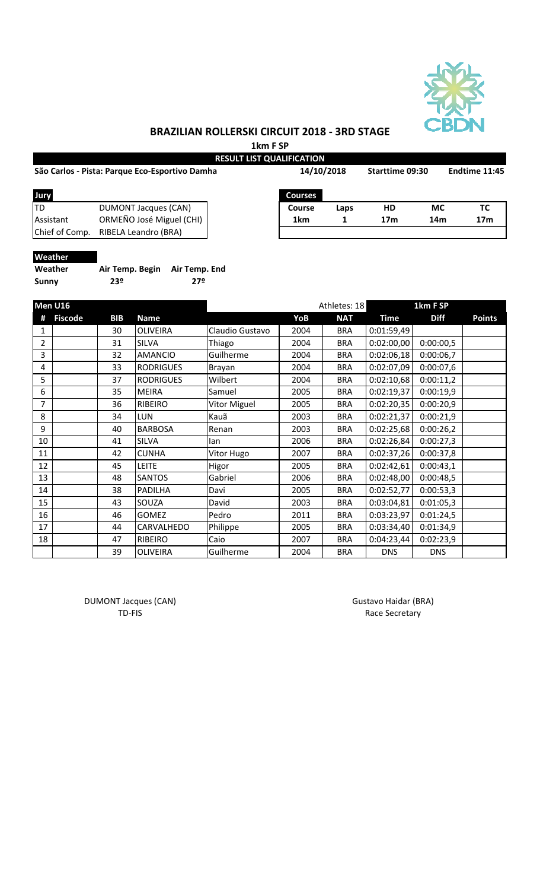

# **BRAZILIAN ROLLERSKI CIRCUIT 2018 - 3RD STAGE**

**1km F SP**

|                | São Carlos - Pista: Parque Eco-Esportivo Damha | 14/10/2018     | Starttime 09:30 | Endtime 11:45   |     |                 |
|----------------|------------------------------------------------|----------------|-----------------|-----------------|-----|-----------------|
| Jury           |                                                | <b>Courses</b> |                 |                 |     |                 |
| <b>ITD</b>     | <b>DUMONT Jacques (CAN)</b>                    | Course         | Laps            | HD              | МC  | ТC              |
| Assistant      | ORMEÑO José Miguel (CHI)                       | 1km            |                 | 17 <sub>m</sub> | 14m | 17 <sub>m</sub> |
| Chief of Comp. | RIBELA Leandro (BRA)                           |                |                 |                 |     |                 |

### **Weather**

| Weather | Air Temp. Begin Air Temp. End |     |
|---------|-------------------------------|-----|
| Sunny   | 23º                           | 27º |

|                | Men U16        |            |                  |                     |      | Athletes: 18 |             | 1km F SP    |               |
|----------------|----------------|------------|------------------|---------------------|------|--------------|-------------|-------------|---------------|
|                | <b>Fiscode</b> | <b>BIB</b> | <b>Name</b>      |                     | YoB  | <b>NAT</b>   | <b>Time</b> | <b>Diff</b> | <b>Points</b> |
| 1              |                | 30         | <b>OLIVEIRA</b>  | Claudio Gustavo     | 2004 | <b>BRA</b>   | 0:01:59,49  |             |               |
| $\overline{2}$ |                | 31         | <b>SILVA</b>     | Thiago              | 2004 | <b>BRA</b>   | 0:02:00,00  | 0:00:00,5   |               |
| 3              |                | 32         | <b>AMANCIO</b>   | Guilherme           | 2004 | <b>BRA</b>   | 0:02:06,18  | 0:00:06,7   |               |
| 4              |                | 33         | <b>RODRIGUES</b> | Brayan              | 2004 | <b>BRA</b>   | 0:02:07,09  | 0:00:07,6   |               |
| 5              |                | 37         | <b>RODRIGUES</b> | Wilbert             | 2004 | <b>BRA</b>   | 0:02:10,68  | 0:00:11,2   |               |
| 6              |                | 35         | <b>MEIRA</b>     | Samuel              | 2005 | <b>BRA</b>   | 0:02:19,37  | 0:00:19,9   |               |
| 7              |                | 36         | RIBEIRO          | <b>Vitor Miguel</b> | 2005 | <b>BRA</b>   | 0:02:20,35  | 0:00:20,9   |               |
| 8              |                | 34         | <b>LUN</b>       | Kauã                | 2003 | <b>BRA</b>   | 0:02:21,37  | 0:00:21,9   |               |
| 9              |                | 40         | <b>BARBOSA</b>   | Renan               | 2003 | <b>BRA</b>   | 0:02:25,68  | 0:00:26,2   |               |
| 10             |                | 41         | SILVA            | lan                 | 2006 | <b>BRA</b>   | 0:02:26,84  | 0:00:27,3   |               |
| 11             |                | 42         | <b>CUNHA</b>     | Vitor Hugo          | 2007 | <b>BRA</b>   | 0:02:37,26  | 0:00:37,8   |               |
| 12             |                | 45         | <b>LEITE</b>     | Higor               | 2005 | <b>BRA</b>   | 0:02:42,61  | 0:00:43,1   |               |
| 13             |                | 48         | <b>SANTOS</b>    | Gabriel             | 2006 | <b>BRA</b>   | 0:02:48,00  | 0:00:48,5   |               |
| 14             |                | 38         | PADILHA          | Davi                | 2005 | <b>BRA</b>   | 0:02:52,77  | 0:00:53,3   |               |
| 15             |                | 43         | SOUZA            | David               | 2003 | <b>BRA</b>   | 0:03:04,81  | 0:01:05,3   |               |
| 16             |                | 46         | GOMEZ            | Pedro               | 2011 | <b>BRA</b>   | 0:03:23,97  | 0:01:24,5   |               |
| 17             |                | 44         | CARVALHEDO       | Philippe            | 2005 | <b>BRA</b>   | 0:03:34,40  | 0:01:34,9   |               |
| 18             |                | 47         | RIBEIRO          | Caio                | 2007 | <b>BRA</b>   | 0:04:23,44  | 0:02:23,9   |               |
|                |                | 39         | <b>OLIVEIRA</b>  | Guilherme           | 2004 | <b>BRA</b>   | <b>DNS</b>  | <b>DNS</b>  |               |

DUMONT Jacques (CAN) and the control of the Gustavo Haidar (BRA) control of the Gustavo Haidar (BRA)

TD-FIS Race Secretary